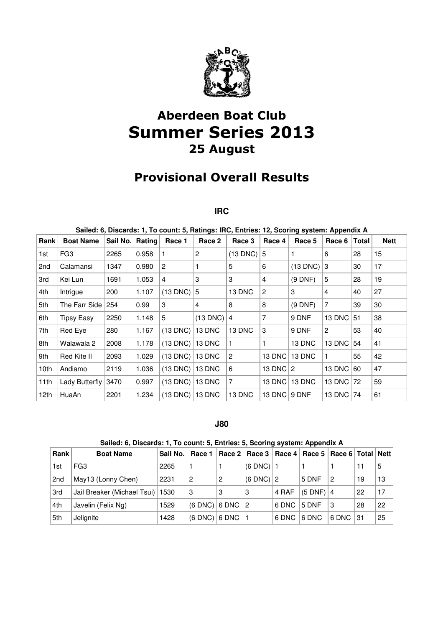

# Aberdeen Boat Club Summer Series 2013 25 August

## Provisional Overall Results

#### **IRC**

| Sailed: 6, Discards: 1, To count: 5, Ratings: IRC, Entries: 12, Scoring system: Appendix A |                   |          |        |               |            |                |                |                |                |       |             |
|--------------------------------------------------------------------------------------------|-------------------|----------|--------|---------------|------------|----------------|----------------|----------------|----------------|-------|-------------|
| Rank                                                                                       | <b>Boat Name</b>  | Sail No. | Rating | Race 1        | Race 2     | Race 3         | Race 4         | Race 5         | Race 6         | Total | <b>Nett</b> |
| 1st                                                                                        | FG <sub>3</sub>   | 2265     | 0.958  | 1             | 2          | $(13$ DNC)     | 5              |                | 6              | 28    | 15          |
| 2 <sub>nd</sub>                                                                            | Calamansi         | 1347     | 0.980  | 2             |            | 5              | 6              | $(13$ DNC)     | 3              | 30    | 17          |
| 3rd                                                                                        | Kei Lun           | 1691     | 1.053  | 4             | 3          | 3              | 4              | (9 DNF)        | 5              | 28    | 19          |
| 4th                                                                                        | Intrigue          | 200      | 1.107  | $(13$ DNC)    | 5          | 13 DNC         | 2              | 3              | 4              | 40    | 27          |
| 5th                                                                                        | The Farr Side     | 254      | 0.99   | 3             | 4          | 8              | 8              | (9 DNF)        | $\overline{7}$ | 39    | 30          |
| 6th                                                                                        | <b>Tipsy Easy</b> | 2250     | 1.148  | 5             | $(13$ DNC) | $\overline{4}$ | 7              | 9 DNF          | 13 DNC         | 51    | 38          |
| 7th                                                                                        | Red Eye           | 280      | 1.167  | $(13$ DNC)    | 13 DNC     | 13 DNC         | 3              | 9 DNF          | 2              | 53    | 40          |
| 8th                                                                                        | Walawala 2        | 2008     | 1.178  | $(13$ DNC)    | 13 DNC     | 1              |                | 13 DNC         | 13 DNC         | 54    | 41          |
| 9th                                                                                        | Red Kite II       | 2093     | 1.029  | $(13$ DNC)    | 13 DNC     | 2              | 13 DNC         | 13 DNC         | -1             | 55    | 42          |
| 10th                                                                                       | Andiamo           | 2119     | 1.036  | $(13$ DNC $)$ | 13 DNC     | 6              | 13 DNC $ $     | $\overline{2}$ | 13 DNC         | 60    | 47          |
| 11th                                                                                       | Lady Butterfly    | 3470     | 0.997  | $(13$ DNC $)$ | 13 DNC     | 7              | 13 DNC         | 13 DNC         | 13 DNC   72    |       | 59          |
| 12th                                                                                       | HuaAn             | 2201     | 1.234  | $(13$ DNC $)$ | 13 DNC     | 13 DNC         | 13 DNC $\vert$ | 9 DNF          | 13 DNC $\vert$ | 74    | 61          |

#### **J80**

| Sailed: 6, Discards: 1, To count: 5, Entries: 5, Scoring system: Appendix A |                                    |          |                         |   |                                                           |       |                |       |    |    |  |
|-----------------------------------------------------------------------------|------------------------------------|----------|-------------------------|---|-----------------------------------------------------------|-------|----------------|-------|----|----|--|
| Rank                                                                        | <b>Boat Name</b>                   | Sail No. | Race 1                  |   | Race 2   Race 3   Race 4   Race 5   Race 6   Total   Nett |       |                |       |    |    |  |
| 1st                                                                         | FG3                                | 2265     |                         |   | $(6$ DNC)   1                                             |       |                |       | 11 | 5  |  |
| 2 <sub>nd</sub>                                                             | May13 (Lonny Chen)                 | 2231     | 2                       | 2 | $(6$ DNC) $ 2$                                            |       | 5 DNF          | 2     | 19 | 13 |  |
| 3rd                                                                         | Jail Breaker (Michael Tsui)   1530 |          | 3                       | 3 | 3                                                         | 4 RAF | $(5$ DNF) $ 4$ |       | 22 | 17 |  |
| 4th                                                                         | Javelin (Felix Ng)                 | 1529     | $(6$ DNC) $ 6$ DNC $ 2$ |   |                                                           | 6 DNC | 5 DNF          | 3     | 28 | 22 |  |
| 5th                                                                         | Jelignite                          | 1428     | $(6$ DNC) $ 6$ DNC $ 1$ |   |                                                           | 6 DNC | 6 DNC          | 6 DNC | 31 | 25 |  |